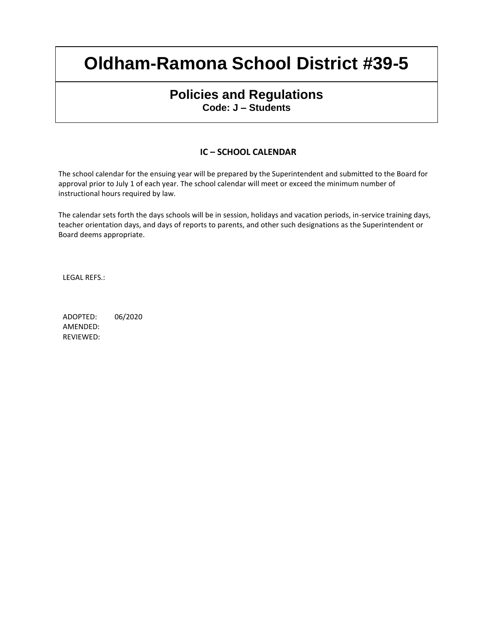## **Policies and Regulations Code: J – Students**

#### **IC – SCHOOL CALENDAR**

The school calendar for the ensuing year will be prepared by the Superintendent and submitted to the Board for approval prior to July 1 of each year. The school calendar will meet or exceed the minimum number of instructional hours required by law.

The calendar sets forth the days schools will be in session, holidays and vacation periods, in-service training days, teacher orientation days, and days of reports to parents, and other such designations as the Superintendent or Board deems appropriate.

LEGAL REFS.:

ADOPTED: 06/2020 AMENDED: REVIEWED: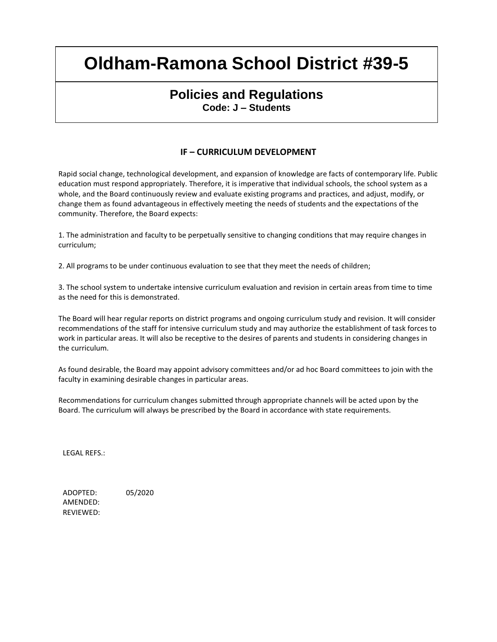## **Policies and Regulations Code: J – Students**

### **IF – CURRICULUM DEVELOPMENT**

Rapid social change, technological development, and expansion of knowledge are facts of contemporary life. Public education must respond appropriately. Therefore, it is imperative that individual schools, the school system as a whole, and the Board continuously review and evaluate existing programs and practices, and adjust, modify, or change them as found advantageous in effectively meeting the needs of students and the expectations of the community. Therefore, the Board expects:

1. The administration and faculty to be perpetually sensitive to changing conditions that may require changes in curriculum;

2. All programs to be under continuous evaluation to see that they meet the needs of children;

3. The school system to undertake intensive curriculum evaluation and revision in certain areas from time to time as the need for this is demonstrated.

The Board will hear regular reports on district programs and ongoing curriculum study and revision. It will consider recommendations of the staff for intensive curriculum study and may authorize the establishment of task forces to work in particular areas. It will also be receptive to the desires of parents and students in considering changes in the curriculum.

As found desirable, the Board may appoint advisory committees and/or ad hoc Board committees to join with the faculty in examining desirable changes in particular areas.

Recommendations for curriculum changes submitted through appropriate channels will be acted upon by the Board. The curriculum will always be prescribed by the Board in accordance with state requirements.

LEGAL REFS.:

ADOPTED: 05/2020 AMENDED: REVIEWED: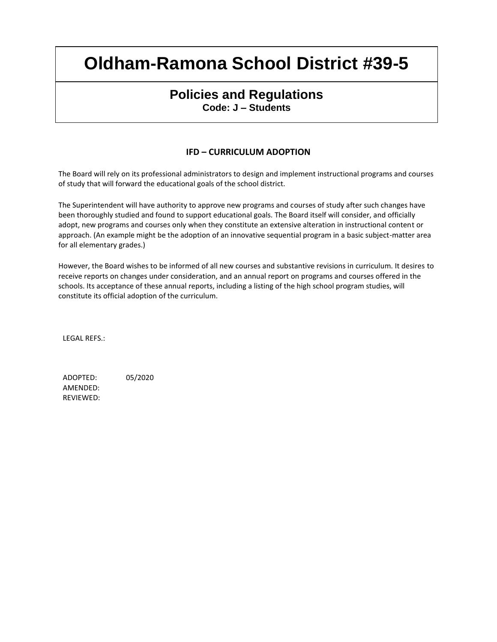### **Policies and Regulations Code: J – Students**

### **IFD – CURRICULUM ADOPTION**

The Board will rely on its professional administrators to design and implement instructional programs and courses of study that will forward the educational goals of the school district.

The Superintendent will have authority to approve new programs and courses of study after such changes have been thoroughly studied and found to support educational goals. The Board itself will consider, and officially adopt, new programs and courses only when they constitute an extensive alteration in instructional content or approach. (An example might be the adoption of an innovative sequential program in a basic subject-matter area for all elementary grades.)

However, the Board wishes to be informed of all new courses and substantive revisions in curriculum. It desires to receive reports on changes under consideration, and an annual report on programs and courses offered in the schools. Its acceptance of these annual reports, including a listing of the high school program studies, will constitute its official adoption of the curriculum.

LEGAL REFS.:

ADOPTED: 05/2020 AMENDED: REVIEWED: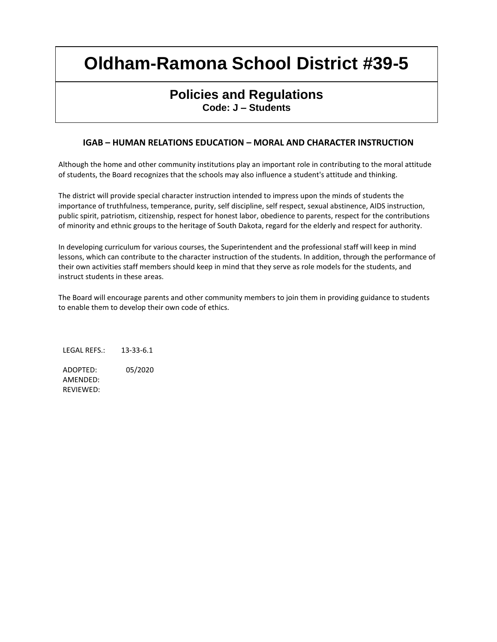## **Policies and Regulations Code: J – Students**

### **IGAB – HUMAN RELATIONS EDUCATION – MORAL AND CHARACTER INSTRUCTION**

Although the home and other community institutions play an important role in contributing to the moral attitude of students, the Board recognizes that the schools may also influence a student's attitude and thinking.

The district will provide special character instruction intended to impress upon the minds of students the importance of truthfulness, temperance, purity, self discipline, self respect, sexual abstinence, AIDS instruction, public spirit, patriotism, citizenship, respect for honest labor, obedience to parents, respect for the contributions of minority and ethnic groups to the heritage of South Dakota, regard for the elderly and respect for authority.

In developing curriculum for various courses, the Superintendent and the professional staff will keep in mind lessons, which can contribute to the character instruction of the students. In addition, through the performance of their own activities staff members should keep in mind that they serve as role models for the students, and instruct students in these areas.

The Board will encourage parents and other community members to join them in providing guidance to students to enable them to develop their own code of ethics.

LEGAL REFS.: 13-33-6.1 ADOPTED: 05/2020 AMENDED: REVIEWED: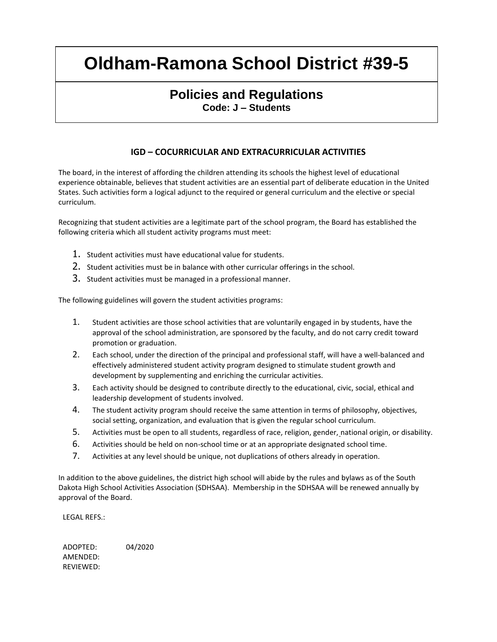## **Policies and Regulations Code: J – Students**

### **IGD – COCURRICULAR AND EXTRACURRICULAR ACTIVITIES**

The board, in the interest of affording the children attending its schools the highest level of educational experience obtainable, believes that student activities are an essential part of deliberate education in the United States. Such activities form a logical adjunct to the required or general curriculum and the elective or special curriculum.

Recognizing that student activities are a legitimate part of the school program, the Board has established the following criteria which all student activity programs must meet:

- $1.$  Student activities must have educational value for students.
- 2. Student activities must be in balance with other curricular offerings in the school.
- 3. Student activities must be managed in a professional manner.

The following guidelines will govern the student activities programs:

- 1. Student activities are those school activities that are voluntarily engaged in by students, have the approval of the school administration, are sponsored by the faculty, and do not carry credit toward promotion or graduation.
- 2. Each school, under the direction of the principal and professional staff, will have a well-balanced and effectively administered student activity program designed to stimulate student growth and development by supplementing and enriching the curricular activities.
- 3. Each activity should be designed to contribute directly to the educational, civic, social, ethical and leadership development of students involved.
- 4. The student activity program should receive the same attention in terms of philosophy, objectives, social setting, organization, and evaluation that is given the regular school curriculum.
- 5. Activities must be open to all students, regardless of race, religion, gender, national origin, or disability.
- 6. Activities should be held on non-school time or at an appropriate designated school time.
- 7. Activities at any level should be unique, not duplications of others already in operation.

In addition to the above guidelines, the district high school will abide by the rules and bylaws as of the South Dakota High School Activities Association (SDHSAA). Membership in the SDHSAA will be renewed annually by approval of the Board.

LEGAL REFS.:

ADOPTED: 04/2020 AMENDED: REVIEWED: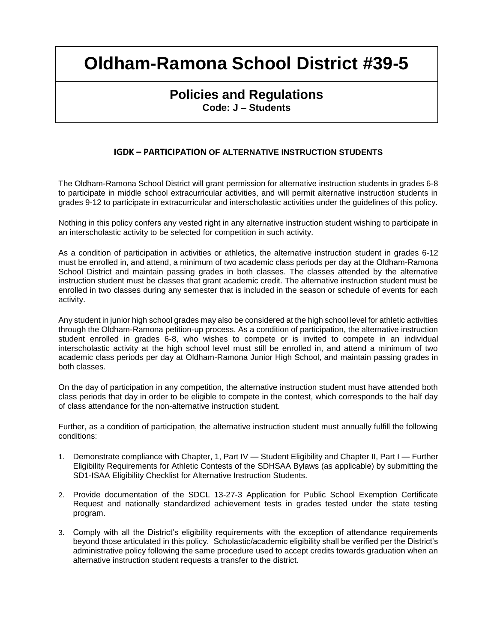## **Policies and Regulations Code: J – Students**

#### **IGDK – PARTICIPATION OF ALTERNATIVE INSTRUCTION STUDENTS**

The Oldham-Ramona School District will grant permission for alternative instruction students in grades 6-8 to participate in middle school extracurricular activities, and will permit alternative instruction students in grades 9-12 to participate in extracurricular and interscholastic activities under the guidelines of this policy.

Nothing in this policy confers any vested right in any alternative instruction student wishing to participate in an interscholastic activity to be selected for competition in such activity.

As a condition of participation in activities or athletics, the alternative instruction student in grades 6-12 must be enrolled in, and attend, a minimum of two academic class periods per day at the Oldham-Ramona School District and maintain passing grades in both classes. The classes attended by the alternative instruction student must be classes that grant academic credit. The alternative instruction student must be enrolled in two classes during any semester that is included in the season or schedule of events for each activity.

Any student in junior high school grades may also be considered at the high school level for athletic activities through the Oldham-Ramona petition-up process. As a condition of participation, the alternative instruction student enrolled in grades 6-8, who wishes to compete or is invited to compete in an individual interscholastic activity at the high school level must still be enrolled in, and attend a minimum of two academic class periods per day at Oldham-Ramona Junior High School, and maintain passing grades in both classes.

On the day of participation in any competition, the alternative instruction student must have attended both class periods that day in order to be eligible to compete in the contest, which corresponds to the half day of class attendance for the non-alternative instruction student.

Further, as a condition of participation, the alternative instruction student must annually fulfill the following conditions:

- 1. Demonstrate compliance with Chapter, 1, Part IV Student Eligibility and Chapter II, Part I Further Eligibility Requirements for Athletic Contests of the SDHSAA Bylaws (as applicable) by submitting the SD1-ISAA Eligibility Checklist for Alternative Instruction Students.
- 2. Provide documentation of the SDCL 13-27-3 Application for Public School Exemption Certificate Request and nationally standardized achievement tests in grades tested under the state testing program.
- 3. Comply with all the District's eligibility requirements with the exception of attendance requirements beyond those articulated in this policy. Scholastic/academic eligibility shall be verified per the District's administrative policy following the same procedure used to accept credits towards graduation when an alternative instruction student requests a transfer to the district.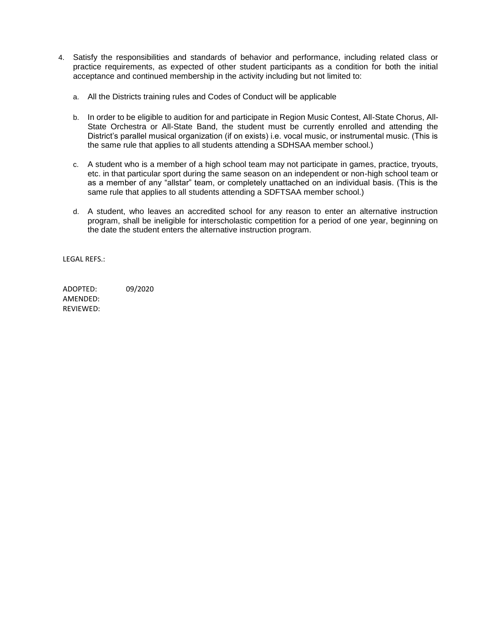- 4. Satisfy the responsibilities and standards of behavior and performance, including related class or practice requirements, as expected of other student participants as a condition for both the initial acceptance and continued membership in the activity including but not limited to:
	- a. All the Districts training rules and Codes of Conduct will be applicable
	- b. In order to be eligible to audition for and participate in Region Music Contest, All-State Chorus, All-State Orchestra or All-State Band, the student must be currently enrolled and attending the District's parallel musical organization (if on exists) i.e. vocal music, or instrumental music. (This is the same rule that applies to all students attending a SDHSAA member school.)
	- c. A student who is a member of a high school team may not participate in games, practice, tryouts, etc. in that particular sport during the same season on an independent or non-high school team or as a member of any "allstar" team, or completely unattached on an individual basis. (This is the same rule that applies to all students attending a SDFTSAA member school.)
	- d. A student, who leaves an accredited school for any reason to enter an alternative instruction program, shall be ineligible for interscholastic competition for a period of one year, beginning on the date the student enters the alternative instruction program.

LEGAL REFS.:

ADOPTED: 09/2020 AMENDED: REVIEWED: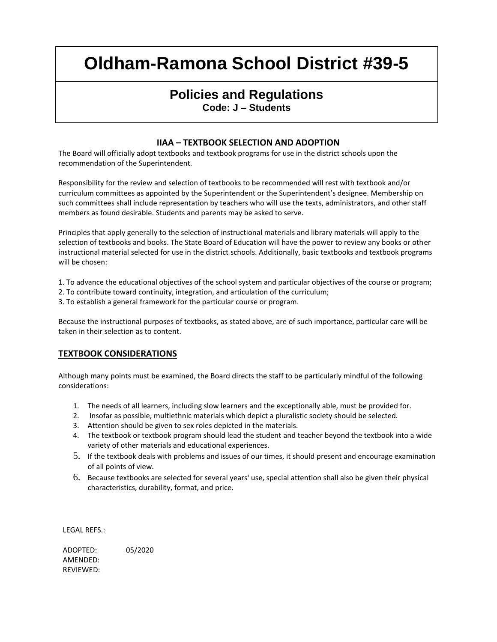## **Policies and Regulations Code: J – Students**

#### **IIAA – TEXTBOOK SELECTION AND ADOPTION**

The Board will officially adopt textbooks and textbook programs for use in the district schools upon the recommendation of the Superintendent.

Responsibility for the review and selection of textbooks to be recommended will rest with textbook and/or curriculum committees as appointed by the Superintendent or the Superintendent's designee. Membership on such committees shall include representation by teachers who will use the texts, administrators, and other staff members as found desirable. Students and parents may be asked to serve.

Principles that apply generally to the selection of instructional materials and library materials will apply to the selection of textbooks and books. The State Board of Education will have the power to review any books or other instructional material selected for use in the district schools. Additionally, basic textbooks and textbook programs will be chosen:

1. To advance the educational objectives of the school system and particular objectives of the course or program;

- 2. To contribute toward continuity, integration, and articulation of the curriculum;
- 3. To establish a general framework for the particular course or program.

Because the instructional purposes of textbooks, as stated above, are of such importance, particular care will be taken in their selection as to content.

#### **TEXTBOOK CONSIDERATIONS**

Although many points must be examined, the Board directs the staff to be particularly mindful of the following considerations:

- 1. The needs of all learners, including slow learners and the exceptionally able, must be provided for.
- 2. Insofar as possible, multiethnic materials which depict a pluralistic society should be selected.
- 3. Attention should be given to sex roles depicted in the materials.
- 4. The textbook or textbook program should lead the student and teacher beyond the textbook into a wide variety of other materials and educational experiences.
- 5. If the textbook deals with problems and issues of our times, it should present and encourage examination of all points of view.
- 6. Because textbooks are selected for several years' use, special attention shall also be given their physical characteristics, durability, format, and price.

LEGAL REFS.:

ADOPTED: 05/2020 AMENDED: REVIEWED: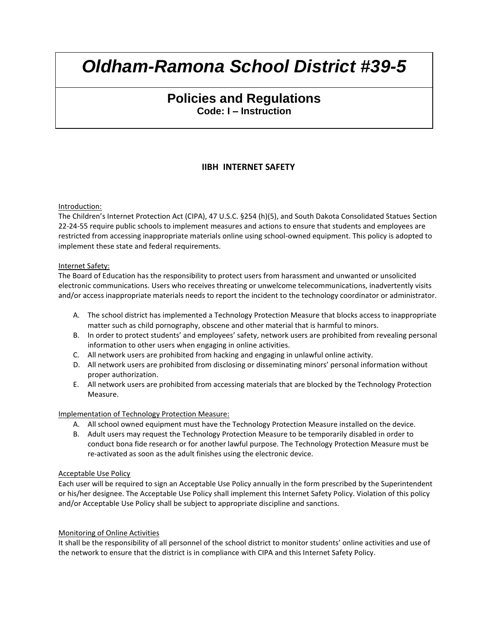## **Policies and Regulations Code: I – Instruction**

### **IIBH INTERNET SAFETY**

#### Introduction:

The Children's Internet Protection Act (CIPA), 47 U.S.C. §254 (h)(5), and South Dakota Consolidated Statues Section 22-24-55 require public schools to implement measures and actions to ensure that students and employees are restricted from accessing inappropriate materials online using school-owned equipment. This policy is adopted to implement these state and federal requirements.

#### Internet Safety:

The Board of Education has the responsibility to protect users from harassment and unwanted or unsolicited electronic communications. Users who receives threating or unwelcome telecommunications, inadvertently visits and/or access inappropriate materials needs to report the incident to the technology coordinator or administrator.

- A. The school district has implemented a Technology Protection Measure that blocks access to inappropriate matter such as child pornography, obscene and other material that is harmful to minors.
- B. In order to protect students' and employees' safety, network users are prohibited from revealing personal information to other users when engaging in online activities.
- C. All network users are prohibited from hacking and engaging in unlawful online activity.
- D. All network users are prohibited from disclosing or disseminating minors' personal information without proper authorization.
- E. All network users are prohibited from accessing materials that are blocked by the Technology Protection Measure.

#### Implementation of Technology Protection Measure:

- A. All school owned equipment must have the Technology Protection Measure installed on the device.
- B. Adult users may request the Technology Protection Measure to be temporarily disabled in order to conduct bona fide research or for another lawful purpose. The Technology Protection Measure must be re-activated as soon as the adult finishes using the electronic device.

#### Acceptable Use Policy

Each user will be required to sign an Acceptable Use Policy annually in the form prescribed by the Superintendent or his/her designee. The Acceptable Use Policy shall implement this Internet Safety Policy. Violation of this policy and/or Acceptable Use Policy shall be subject to appropriate discipline and sanctions.

#### Monitoring of Online Activities

It shall be the responsibility of all personnel of the school district to monitor students' online activities and use of the network to ensure that the district is in compliance with CIPA and this Internet Safety Policy.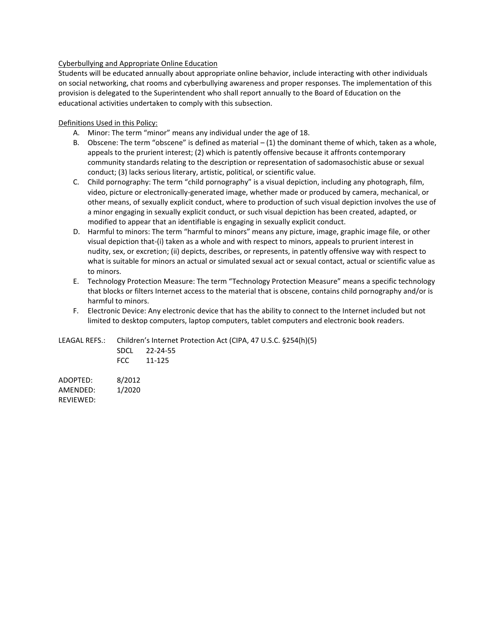#### Cyberbullying and Appropriate Online Education

Students will be educated annually about appropriate online behavior, include interacting with other individuals on social networking, chat rooms and cyberbullying awareness and proper responses. The implementation of this provision is delegated to the Superintendent who shall report annually to the Board of Education on the educational activities undertaken to comply with this subsection.

#### Definitions Used in this Policy:

- A. Minor: The term "minor" means any individual under the age of 18.
- B. Obscene: The term "obscene" is defined as material (1) the dominant theme of which, taken as a whole, appeals to the prurient interest; (2) which is patently offensive because it affronts contemporary community standards relating to the description or representation of sadomasochistic abuse or sexual conduct; (3) lacks serious literary, artistic, political, or scientific value.
- C. Child pornography: The term "child pornography" is a visual depiction, including any photograph, film, video, picture or electronically-generated image, whether made or produced by camera, mechanical, or other means, of sexually explicit conduct, where to production of such visual depiction involves the use of a minor engaging in sexually explicit conduct, or such visual depiction has been created, adapted, or modified to appear that an identifiable is engaging in sexually explicit conduct.
- D. Harmful to minors: The term "harmful to minors" means any picture, image, graphic image file, or other visual depiction that-(i) taken as a whole and with respect to minors, appeals to prurient interest in nudity, sex, or excretion; (ii) depicts, describes, or represents, in patently offensive way with respect to what is suitable for minors an actual or simulated sexual act or sexual contact, actual or scientific value as to minors.
- E. Technology Protection Measure: The term "Technology Protection Measure" means a specific technology that blocks or filters Internet access to the material that is obscene, contains child pornography and/or is harmful to minors.
- F. Electronic Device: Any electronic device that has the ability to connect to the Internet included but not limited to desktop computers, laptop computers, tablet computers and electronic book readers.

LEAGAL REFS.: Children's Internet Protection Act (CIPA, 47 U.S.C. §254(h)(5) SDCL 22-24-55 FCC 11-125

ADOPTED: 8/2012 AMENDED: 1/2020 REVIEWED: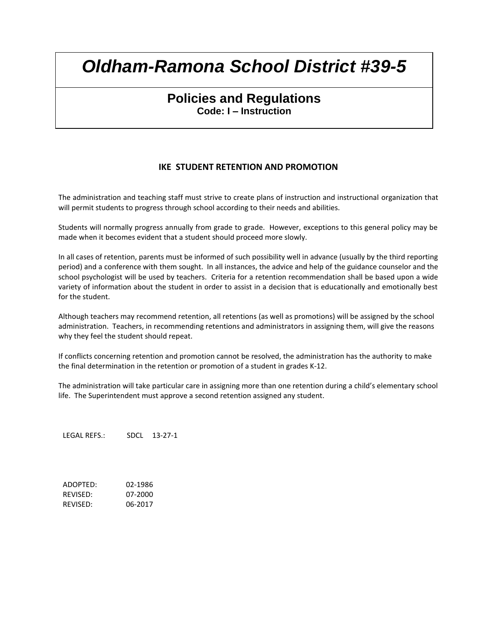## **Policies and Regulations Code: I – Instruction**

### **IKE STUDENT RETENTION AND PROMOTION**

The administration and teaching staff must strive to create plans of instruction and instructional organization that will permit students to progress through school according to their needs and abilities.

Students will normally progress annually from grade to grade. However, exceptions to this general policy may be made when it becomes evident that a student should proceed more slowly.

In all cases of retention, parents must be informed of such possibility well in advance (usually by the third reporting period) and a conference with them sought. In all instances, the advice and help of the guidance counselor and the school psychologist will be used by teachers. Criteria for a retention recommendation shall be based upon a wide variety of information about the student in order to assist in a decision that is educationally and emotionally best for the student.

Although teachers may recommend retention, all retentions (as well as promotions) will be assigned by the school administration. Teachers, in recommending retentions and administrators in assigning them, will give the reasons why they feel the student should repeat.

If conflicts concerning retention and promotion cannot be resolved, the administration has the authority to make the final determination in the retention or promotion of a student in grades K-12.

The administration will take particular care in assigning more than one retention during a child's elementary school life. The Superintendent must approve a second retention assigned any student.

LEGAL REFS.: SDCL 13-27-1

ADOPTED: 02-1986 REVISED: 07-2000 REVISED: 06-2017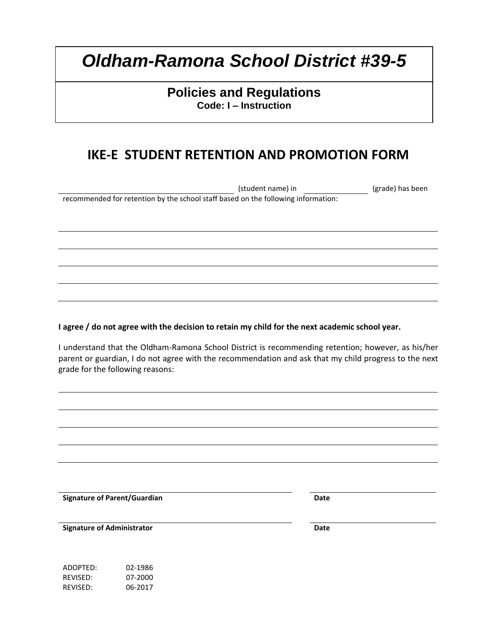## **Policies and Regulations Code: I – Instruction**

## **IKE-E STUDENT RETENTION AND PROMOTION FORM**

(student name) in (grade) has been recommended for retention by the school staff based on the following information:

**I agree / do not agree with the decision to retain my child for the next academic school year.**

I understand that the Oldham-Ramona School District is recommending retention; however, as his/her parent or guardian, I do not agree with the recommendation and ask that my child progress to the next grade for the following reasons:

**Signature of Parent/Guardian Date** 

**Signature of Administrator Date**

ADOPTED: 02-1986 REVISED: 07-2000 REVISED: 06-2017